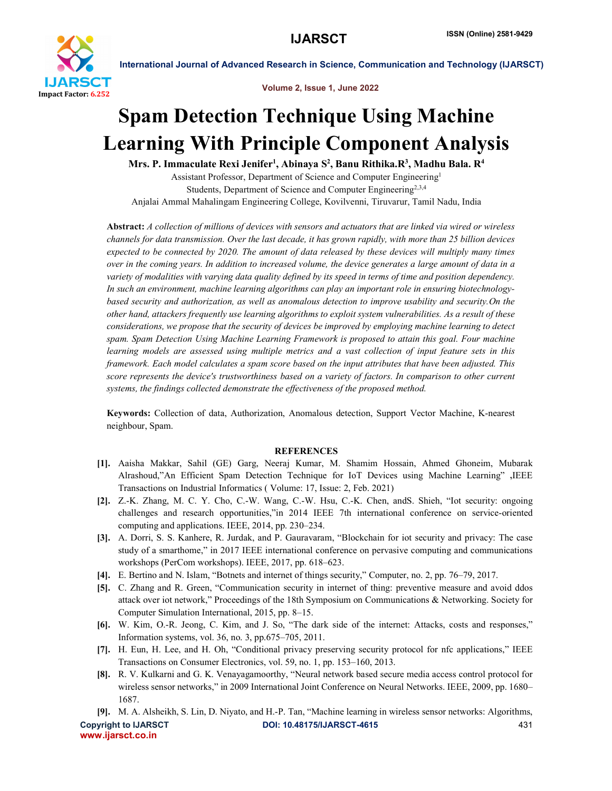

International Journal of Advanced Research in Science, Communication and Technology (IJARSCT)

Volume 2, Issue 1, June 2022

# Spam Detection Technique Using Machine Learning With Principle Component Analysis

Mrs. P. Immaculate Rexi Jenifer<sup>1</sup>, Abinaya S<sup>2</sup>, Banu Rithika.R<sup>3</sup>, Madhu Bala. R<sup>4</sup>

Assistant Professor, Department of Science and Computer Engineering1 Students, Department of Science and Computer Engineering<sup>2,3,4</sup> Anjalai Ammal Mahalingam Engineering College, Kovilvenni, Tiruvarur, Tamil Nadu, India

Abstract: *A collection of millions of devices with sensors and actuators that are linked via wired or wireless channels for data transmission. Over the last decade, it has grown rapidly, with more than 25 billion devices expected to be connected by 2020. The amount of data released by these devices will multiply many times over in the coming years. In addition to increased volume, the device generates a large amount of data in a variety of modalities with varying data quality defined by its speed in terms of time and position dependency. In such an environment, machine learning algorithms can play an important role in ensuring biotechnologybased security and authorization, as well as anomalous detection to improve usability and security.On the other hand, attackers frequently use learning algorithms to exploit system vulnerabilities. As a result of these considerations, we propose that the security of devices be improved by employing machine learning to detect spam. Spam Detection Using Machine Learning Framework is proposed to attain this goal. Four machine learning models are assessed using multiple metrics and a vast collection of input feature sets in this framework. Each model calculates a spam score based on the input attributes that have been adjusted. This score represents the device's trustworthiness based on a variety of factors. In comparison to other current systems, the findings collected demonstrate the effectiveness of the proposed method.*

Keywords: Collection of data, Authorization, Anomalous detection, Support Vector Machine, K-nearest neighbour, Spam.

# **REFERENCES**

- [1]. Aaisha Makkar, Sahil (GE) Garg, Neeraj Kumar, M. Shamim Hossain, Ahmed Ghoneim, Mubarak Alrashoud,"An Efficient Spam Detection Technique for IoT Devices using Machine Learning" ,IEEE Transactions on Industrial Informatics ( Volume: 17, Issue: 2, Feb. 2021)
- [2]. Z.-K. Zhang, M. C. Y. Cho, C.-W. Wang, C.-W. Hsu, C.-K. Chen, andS. Shieh, "Iot security: ongoing challenges and research opportunities,"in 2014 IEEE 7th international conference on service-oriented computing and applications. IEEE, 2014, pp. 230–234.
- [3]. A. Dorri, S. S. Kanhere, R. Jurdak, and P. Gauravaram, "Blockchain for iot security and privacy: The case study of a smarthome," in 2017 IEEE international conference on pervasive computing and communications workshops (PerCom workshops). IEEE, 2017, pp. 618–623.
- [4]. E. Bertino and N. Islam, "Botnets and internet of things security," Computer, no. 2, pp. 76–79, 2017.
- [5]. C. Zhang and R. Green, "Communication security in internet of thing: preventive measure and avoid ddos attack over iot network," Proceedings of the 18th Symposium on Communications & Networking. Society for Computer Simulation International, 2015, pp. 8–15.
- [6]. W. Kim, O.-R. Jeong, C. Kim, and J. So, "The dark side of the internet: Attacks, costs and responses," Information systems, vol. 36, no. 3, pp.675–705, 2011.
- [7]. H. Eun, H. Lee, and H. Oh, "Conditional privacy preserving security protocol for nfc applications," IEEE Transactions on Consumer Electronics, vol. 59, no. 1, pp. 153–160, 2013.
- [8]. R. V. Kulkarni and G. K. Venayagamoorthy, "Neural network based secure media access control protocol for wireless sensor networks," in 2009 International Joint Conference on Neural Networks. IEEE, 2009, pp. 1680– 1687.

Copyright to IJARSCT **DOI: 10.48175/IJARSCT-4615** 431 [9]. M. A. Alsheikh, S. Lin, D. Niyato, and H.-P. Tan, "Machine learning in wireless sensor networks: Algorithms,

www.ijarsct.co.in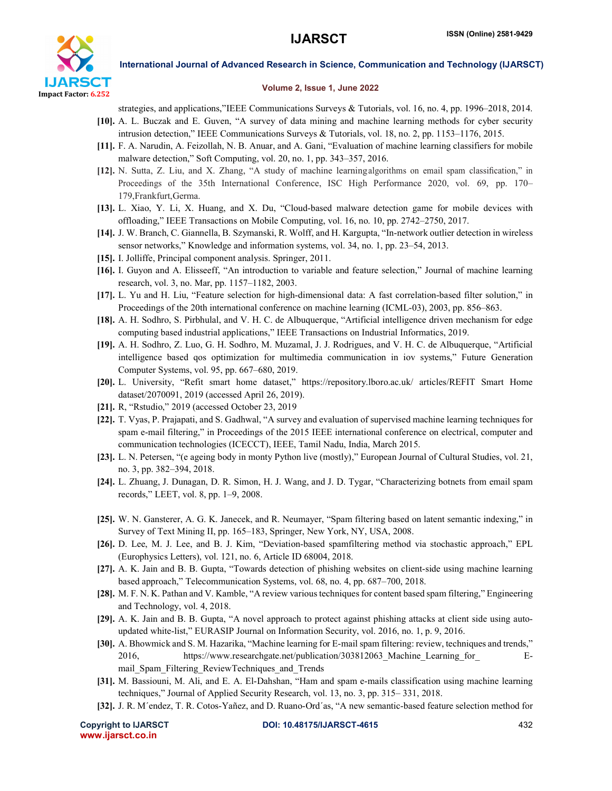

International Journal of Advanced Research in Science, Communication and Technology (IJARSCT)

## Volume 2, Issue 1, June 2022

strategies, and applications,"IEEE Communications Surveys & Tutorials, vol. 16, no. 4, pp. 1996–2018, 2014.

- [10]. A. L. Buczak and E. Guven, "A survey of data mining and machine learning methods for cyber security intrusion detection," IEEE Communications Surveys & Tutorials, vol. 18, no. 2, pp. 1153–1176, 2015.
- [11]. F. A. Narudin, A. Feizollah, N. B. Anuar, and A. Gani, "Evaluation of machine learning classifiers for mobile malware detection," Soft Computing, vol. 20, no. 1, pp. 343–357, 2016.
- [12]. N. Sutta, Z. Liu, and X. Zhang, "A study of machine learningalgorithms on email spam classification," in Proceedings of the 35th International Conference, ISC High Performance 2020, vol. 69, pp. 170– 179,Frankfurt,Germa.
- [13]. L. Xiao, Y. Li, X. Huang, and X. Du, "Cloud-based malware detection game for mobile devices with offloading," IEEE Transactions on Mobile Computing, vol. 16, no. 10, pp. 2742–2750, 2017.
- [14]. J. W. Branch, C. Giannella, B. Szymanski, R. Wolff, and H. Kargupta, "In-network outlier detection in wireless sensor networks," Knowledge and information systems, vol. 34, no. 1, pp. 23–54, 2013.
- [15]. I. Jolliffe, Principal component analysis. Springer, 2011.
- [16]. I. Guyon and A. Elisseeff, "An introduction to variable and feature selection," Journal of machine learning research, vol. 3, no. Mar, pp. 1157–1182, 2003.
- [17]. L. Yu and H. Liu, "Feature selection for high-dimensional data: A fast correlation-based filter solution," in Proceedings of the 20th international conference on machine learning (ICML-03), 2003, pp. 856–863.
- [18]. A. H. Sodhro, S. Pirbhulal, and V. H. C. de Albuquerque, "Artificial intelligence driven mechanism for edge computing based industrial applications," IEEE Transactions on Industrial Informatics, 2019.
- [19]. A. H. Sodhro, Z. Luo, G. H. Sodhro, M. Muzamal, J. J. Rodrigues, and V. H. C. de Albuquerque, "Artificial intelligence based qos optimization for multimedia communication in iov systems," Future Generation Computer Systems, vol. 95, pp. 667–680, 2019.
- [20]. L. University, "Refit smart home dataset," https://repository.lboro.ac.uk/ articles/REFIT Smart Home dataset/2070091, 2019 (accessed April 26, 2019).
- [21]. R, "Rstudio," 2019 (accessed October 23, 2019
- [22]. T. Vyas, P. Prajapati, and S. Gadhwal, "A survey and evaluation of supervised machine learning techniques for spam e-mail filtering," in Proceedings of the 2015 IEEE international conference on electrical, computer and communication technologies (ICECCT), IEEE, Tamil Nadu, India, March 2015.
- [23]. L. N. Petersen, "(e ageing body in monty Python live (mostly)," European Journal of Cultural Studies, vol. 21, no. 3, pp. 382–394, 2018.
- [24]. L. Zhuang, J. Dunagan, D. R. Simon, H. J. Wang, and J. D. Tygar, "Characterizing botnets from email spam records," LEET, vol. 8, pp. 1–9, 2008.
- [25]. W. N. Gansterer, A. G. K. Janecek, and R. Neumayer, "Spam filtering based on latent semantic indexing," in Survey of Text Mining II, pp. 165–183, Springer, New York, NY, USA, 2008.
- [26]. D. Lee, M. J. Lee, and B. J. Kim, "Deviation-based spamfiltering method via stochastic approach," EPL (Europhysics Letters), vol. 121, no. 6, Article ID 68004, 2018.
- [27]. A. K. Jain and B. B. Gupta, "Towards detection of phishing websites on client-side using machine learning based approach," Telecommunication Systems, vol. 68, no. 4, pp. 687–700, 2018.
- [28]. M. F. N. K. Pathan and V. Kamble, "A review various techniques for content based spam filtering," Engineering and Technology, vol. 4, 2018.
- [29]. A. K. Jain and B. B. Gupta, "A novel approach to protect against phishing attacks at client side using autoupdated white-list," EURASIP Journal on Information Security, vol. 2016, no. 1, p. 9, 2016.
- [30]. A. Bhowmick and S. M. Hazarika, "Machine learning for E-mail spam filtering: review, techniques and trends," 2016, https://www.researchgate.net/publication/303812063 Machine Learning for Email Spam Filtering ReviewTechniques and Trends
- [31]. M. Bassiouni, M. Ali, and E. A. El-Dahshan, "Ham and spam e-mails classification using machine learning techniques," Journal of Applied Security Research, vol. 13, no. 3, pp. 315– 331, 2018.
- [32]. J. R. M´endez, T. R. Cotos-Yañez, and D. Ruano-Ord´as, "A new semantic-based feature selection method for